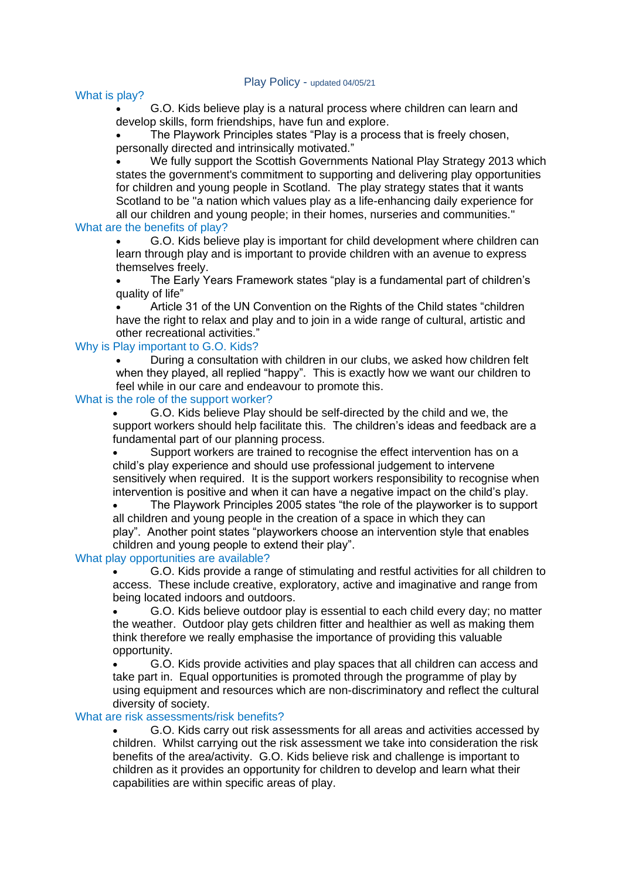## What is play?

• G.O. Kids believe play is a natural process where children can learn and develop skills, form friendships, have fun and explore.

The Playwork Principles states "Play is a process that is freely chosen, personally directed and intrinsically motivated."

• We fully support the Scottish Governments National Play Strategy 2013 which states the government's commitment to supporting and delivering play opportunities for children and young people in Scotland. The play strategy states that it wants Scotland to be "a nation which values play as a life-enhancing daily experience for all our children and young people; in their homes, nurseries and communities."

# What are the benefits of play?

• G.O. Kids believe play is important for child development where children can learn through play and is important to provide children with an avenue to express themselves freely.

• The Early Years Framework states "play is a fundamental part of children's quality of life"

• Article 31 of the UN Convention on the Rights of the Child states "children have the right to relax and play and to join in a wide range of cultural, artistic and other recreational activities."

### Why is Play important to G.O. Kids?

• During a consultation with children in our clubs, we asked how children felt when they played, all replied "happy". This is exactly how we want our children to feel while in our care and endeavour to promote this.

# What is the role of the support worker?

• G.O. Kids believe Play should be self-directed by the child and we, the support workers should help facilitate this. The children's ideas and feedback are a fundamental part of our planning process.

Support workers are trained to recognise the effect intervention has on a child's play experience and should use professional judgement to intervene sensitively when required. It is the support workers responsibility to recognise when intervention is positive and when it can have a negative impact on the child's play.

• The Playwork Principles 2005 states "the role of the playworker is to support all children and young people in the creation of a space in which they can play". Another point states "playworkers choose an intervention style that enables children and young people to extend their play".

### What play opportunities are available?

• G.O. Kids provide a range of stimulating and restful activities for all children to access. These include creative, exploratory, active and imaginative and range from being located indoors and outdoors.

• G.O. Kids believe outdoor play is essential to each child every day; no matter the weather. Outdoor play gets children fitter and healthier as well as making them think therefore we really emphasise the importance of providing this valuable opportunity.

• G.O. Kids provide activities and play spaces that all children can access and take part in. Equal opportunities is promoted through the programme of play by using equipment and resources which are non-discriminatory and reflect the cultural diversity of society.

### What are risk assessments/risk benefits?

• G.O. Kids carry out risk assessments for all areas and activities accessed by children. Whilst carrying out the risk assessment we take into consideration the risk benefits of the area/activity. G.O. Kids believe risk and challenge is important to children as it provides an opportunity for children to develop and learn what their capabilities are within specific areas of play.